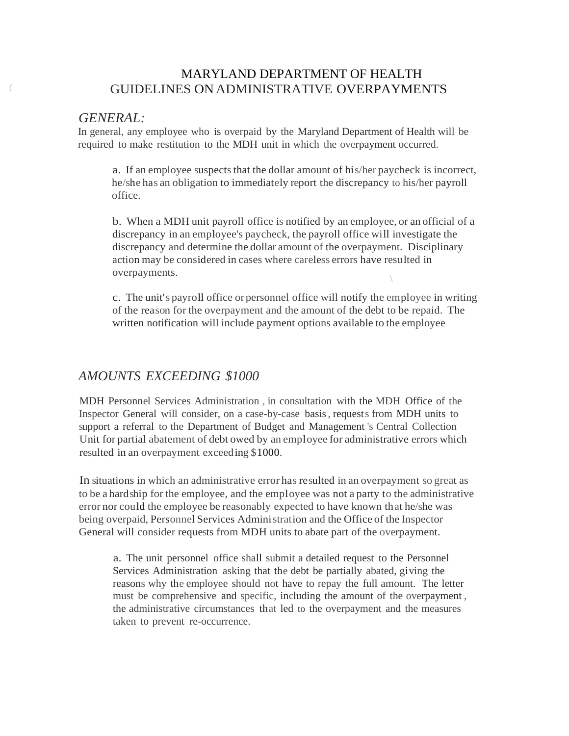## MARYLAND DEPARTMENT OF HEALTH *(* GUIDELINES ON ADMINISTRATIVE OVERPAYMENTS

### *GENERAL:*

In general, any employee who is overpaid by the Maryland Department of Health will be required to make restitution to the MDH unit in which the overpayment occurred.

a. If an employee suspects that the dollar amount of his/her paycheck is incorrect, he/she has an obligation to immediately report the discrepancy to his/her payroll office.

b. When a MDH unit payroll office is notified by an employee, or an official of a discrepancy in an employee's paycheck, the payroll office will investigate the discrepancy and determine the dollar amount of the overpayment. Disciplinary action may be considered in cases where careless errors have resulted in overpayments. \

c. The unit's payroll office orpersonnel office will notify the employee in writing of the reason for the overpayment and the amount of the debt to be repaid. The written notification will include payment options available to the employee

## *AMOUNTS EXCEEDING \$1000*

MDH Personnel Services Administration , in consultation with the MDH Office of the Inspector General will consider, on a case-by-case basis, requests from MDH units to support a referral to the Department of Budget and Management 's Central Collection Unit for partial abatement of debt owed by an employee for administrative errors which resulted in an overpayment exceeding \$1000.

In situations in which an administrative error has resulted in an overpayment so great as to be a hardship for the employee, and the employee was not a party to the administrative error nor could the employee be reasonably expected to have known that he/she was being overpaid, Personnel Services Administration and the Office of the Inspector General will consider requests from MDH units to abate part of the overpayment.

a. The unit personnel office shall submit a detailed request to the Personnel Services Administration asking that the debt be partially abated, giving the reasons why the employee should not have to repay the full amount. The letter must be comprehensive and specific, including the amount of the overpayment , the administrative circumstances that led to the overpayment and the measures taken to prevent re-occurrence.